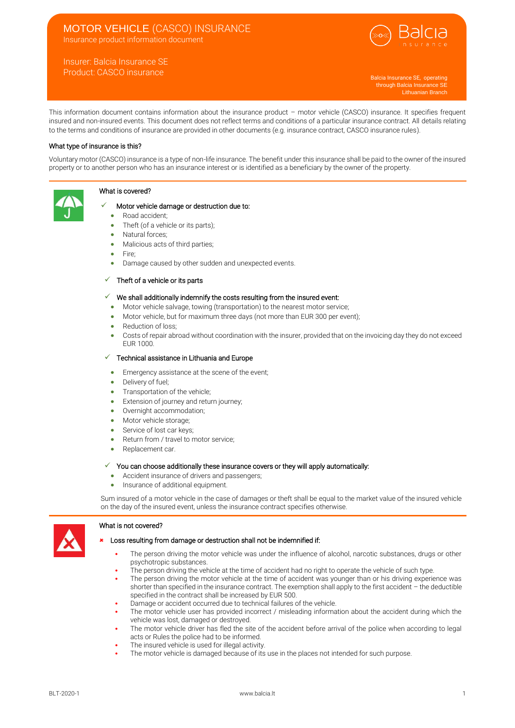# MOTOR VEHICLE (CASCO) INSURANCE

Insurance product information document

## Insurer: Balcia Insurance SE Product: CASCO insurance



Balcia Insurance SE, operating through Balcia Insurance SE Lithuanian Branch

This information document contains information about the insurance product – motor vehicle (CASCO) insurance. It specifies frequent insured and non-insured events. This document does not reflect terms and conditions of a particular insurance contract. All details relating to the terms and conditions of insurance are provided in other documents (e.g. insurance contract, CASCO insurance rules).

## What type of insurance is this?

Voluntary motor (CASCO) insurance is a type of non-life insurance. The benefit under this insurance shall be paid to the owner of the insured property or to another person who has an insurance interest or is identified as a beneficiary by the owner of the property.

## What is covered?



## Motor vehicle damage or destruction due to:

- Road accident;
- Theft (of a vehicle or its parts);
- Natural forces;
- Malicious acts of third parties;
- Fire;
- Damage caused by other sudden and unexpected events.

## $\checkmark$  Theft of a vehicle or its parts

- $\checkmark$  We shall additionally indemnify the costs resulting from the insured event:
	- Motor vehicle salvage, towing (transportation) to the nearest motor service;
	- Motor vehicle, but for maximum three days (not more than EUR 300 per event);
	- Reduction of loss:
	- Costs of repair abroad without coordination with the insurer, provided that on the invoicing day they do not exceed EUR 1000.

## ✓ Technical assistance in Lithuania and Europe

- Emergency assistance at the scene of the event;
- Delivery of fuel:
- Transportation of the vehicle;
- Extension of journey and return journey;
- Overnight accommodation;
- Motor vehicle storage:
- Service of lost car keys;
- Return from / travel to motor service;
- Replacement car.

#### $\checkmark$  You can choose additionally these insurance covers or they will apply automatically:

- Accident insurance of drivers and passengers;
- Insurance of additional equipment.

Sum insured of a motor vehicle in the case of damages or theft shall be equal to the market value of the insured vehicle on the day of the insured event, unless the insurance contract specifies otherwise.

#### What is not covered?



## Loss resulting from damage or destruction shall not be indemnified if:

- The person driving the motor vehicle was under the influence of alcohol, narcotic substances, drugs or other psychotropic substances.
- The person driving the vehicle at the time of accident had no right to operate the vehicle of such type.
- The person driving the motor vehicle at the time of accident was younger than or his driving experience was shorter than specified in the insurance contract. The exemption shall apply to the first accident – the deductible specified in the contract shall be increased by EUR 500.
- Damage or accident occurred due to technical failures of the vehicle.
- The motor vehicle user has provided incorrect / misleading information about the accident during which the vehicle was lost, damaged or destroyed.
- The motor vehicle driver has fled the site of the accident before arrival of the police when according to legal acts or Rules the police had to be informed.
- The insured vehicle is used for illegal activity.
- The motor vehicle is damaged because of its use in the places not intended for such purpose.